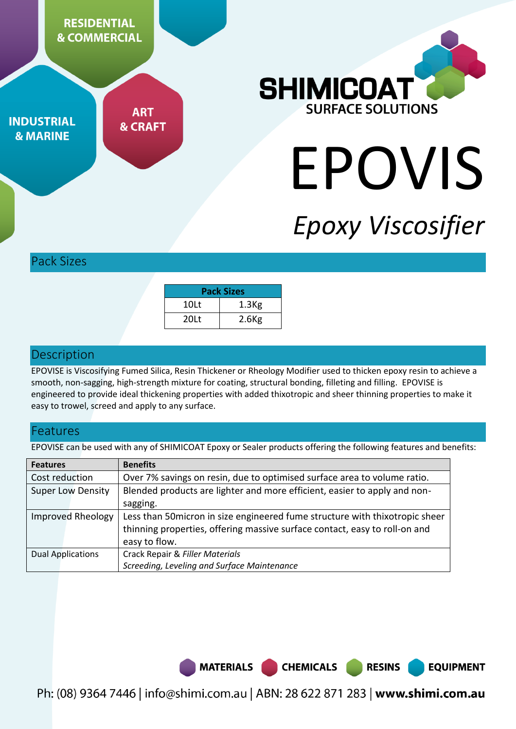

**ART INDUSTRIAL & CRAFT & MARINE** 



# EPOVIS

## *Epoxy Viscosifier*

**RESINS** 

**EQUIPMENT** 

#### Pack Sizes

| <b>Pack Sizes</b> |                   |  |
|-------------------|-------------------|--|
| 10 <sub>lt</sub>  | 1.3 <sub>Kg</sub> |  |
| 20 <sub>lt</sub>  | $2.6$ Kg          |  |

#### **Description**

EPOVISE is Viscosifying Fumed Silica, Resin Thickener or Rheology Modifier used to thicken epoxy resin to achieve a smooth, non-sagging, high-strength mixture for coating, structural bonding, filleting and filling. EPOVISE is engineered to provide ideal thickening properties with added thixotropic and sheer thinning properties to make it easy to trowel, screed and apply to any surface.

#### Features

EPOVISE can be used with any of SHIMICOAT Epoxy or Sealer products offering the following features and benefits:

| <b>Features</b>          | <b>Benefits</b>                                                              |  |
|--------------------------|------------------------------------------------------------------------------|--|
| Cost reduction           | Over 7% savings on resin, due to optimised surface area to volume ratio.     |  |
| <b>Super Low Density</b> | Blended products are lighter and more efficient, easier to apply and non-    |  |
|                          | sagging.                                                                     |  |
| <b>Improved Rheology</b> | Less than 50 micron in size engineered fume structure with thixotropic sheer |  |
|                          | thinning properties, offering massive surface contact, easy to roll-on and   |  |
|                          | easy to flow.                                                                |  |
| <b>Dual Applications</b> | Crack Repair & Filler Materials                                              |  |
|                          | Screeding, Leveling and Surface Maintenance                                  |  |



Ph: (08) 9364 7446 | info@shimi.com.au | ABN: 28 622 871 283 | www.shimi.com.au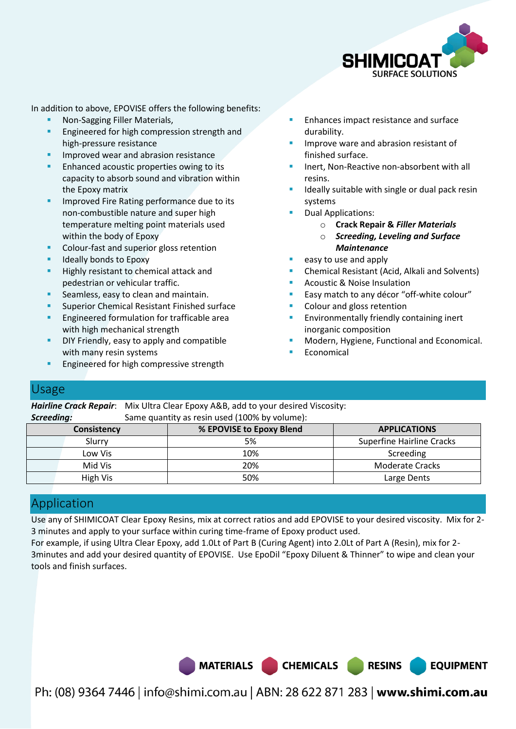

In addition to above, EPOVISE offers the following benefits:

- Non-Sagging Filler Materials,
- Engineered for high compression strength and high-pressure resistance
- Improved wear and abrasion resistance
- Enhanced acoustic properties owing to its capacity to absorb sound and vibration within the Epoxy matrix
- **IMPROVED FITE Rating performance due to its** non-combustible nature and super high temperature melting point materials used within the body of Epoxy
- Colour-fast and superior gloss retention
- **IDEALLY BOOD BOOT IS A LOCAL PROPERTY**
- **Highly resistant to chemical attack and** pedestrian or vehicular traffic.
- Seamless, easy to clean and maintain.
- Superior Chemical Resistant Finished surface
- Engineered formulation for trafficable area with high mechanical strength
- DIY Friendly, easy to apply and compatible with many resin systems
- Engineered for high compressive strength
- Enhances impact resistance and surface durability.
- Improve ware and abrasion resistant of finished surface.
- Inert, Non-Reactive non-absorbent with all resins.
- Ideally suitable with single or dual pack resin systems
- Dual Applications:
	- o **Crack Repair &** *Filler Materials*
	- o *Screeding, Leveling and Surface Maintenance*
- easy to use and apply
- Chemical Resistant (Acid, Alkali and Solvents)
- Acoustic & Noise Insulation
- Easy match to any décor "off-white colour"
- Colour and gloss retention
- Environmentally friendly containing inert inorganic composition
- Modern, Hygiene, Functional and Economical.

**EQUIPMENT** 

Economical

#### Usage

*Hairline Crack Repair*: Mix Ultra Clear Epoxy A&B, add to your desired Viscosity: **Screeding:** Same quantity as resin used (100% by volume):

| <b>Consistency</b> | % EPOVISE to Epoxy Blend | <b>APPLICATIONS</b>              |  |  |
|--------------------|--------------------------|----------------------------------|--|--|
| Slurry             | 5%                       | <b>Superfine Hairline Cracks</b> |  |  |
| Low Vis            | 10%                      | Screeding                        |  |  |
| Mid Vis            | 20%                      | <b>Moderate Cracks</b>           |  |  |
| High Vis           | 50%                      | Large Dents                      |  |  |

### Application

Use any of SHIMICOAT Clear Epoxy Resins, mix at correct ratios and add EPOVISE to your desired viscosity. Mix for 2- 3 minutes and apply to your surface within curing time-frame of Epoxy product used.

For example, if using Ultra Clear Epoxy, add 1.0Lt of Part B (Curing Agent) into 2.0Lt of Part A (Resin), mix for 2- 3minutes and add your desired quantity of EPOVISE. Use EpoDil "Epoxy Diluent & Thinner" to wipe and clean your tools and finish surfaces.



Ph: (08) 9364 7446 | info@shimi.com.au | ABN: 28 622 871 283 | www.shimi.com.au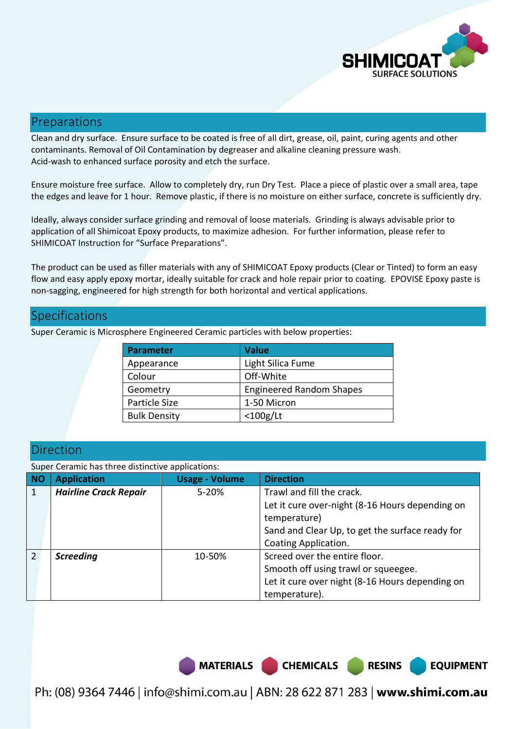

#### Preparations

Clean and dry surface. Ensure surface to be coated is free of all dirt, grease, oil, paint, curing agents and other contaminants. Removal of Oil Contamination by degreaser and alkaline cleaning pressure wash. Acid-wash to enhanced surface porosity and etch the surface.

Ensure moisture free surface. Allow to completely dry, run Dry Test. Place a piece of plastic over a small area, tape the edges and leave for 1 hour. Remove plastic, if there is no moisture on either surface, concrete is sufficiently dry.

Ideally, always consider surface grinding and removal of loose materials. Grinding is always advisable prior to application of all Shimicoat Epoxy products, to maximize adhesion. For further information, please refer to SHIMICOAT Instruction for "Surface Preparations".

The product can be used as filler materials with any of SHIMICOAT Epoxy products (Clear or Tinted) to form an easy flow and easy apply epoxy mortar, ideally suitable for crack and hole repair prior to coating. EPOVISE Epoxy paste is non-sagging, engineered for high strength for both horizontal and vertical applications.

#### **Specifications**

| <b>Parameter</b>    | <b>Value</b>                    |  |
|---------------------|---------------------------------|--|
| Appearance          | Light Silica Fume               |  |
| Colour              | Off-White                       |  |
| Geometry            | <b>Engineered Random Shapes</b> |  |
| Particle Size       | 1-50 Micron                     |  |
| <b>Bulk Density</b> | $<$ 100g/Lt                     |  |

Super Ceramic is Microsphere Engineered Ceramic particles with below properties:

#### Direction

Super Ceramic has three distinctive applications:

|                | Saper ceranne nas am ce aisancave applications. |                       |                                                 |  |  |
|----------------|-------------------------------------------------|-----------------------|-------------------------------------------------|--|--|
| NO             | <b>Application</b>                              | <b>Usage - Volume</b> | <b>Direction</b>                                |  |  |
| $\mathbf{1}$   | <b>Hairline Crack Repair</b>                    | 5-20%                 | Trawl and fill the crack.                       |  |  |
|                |                                                 |                       | Let it cure over-night (8-16 Hours depending on |  |  |
|                |                                                 |                       | temperature)                                    |  |  |
|                |                                                 |                       | Sand and Clear Up, to get the surface ready for |  |  |
|                |                                                 |                       | Coating Application.                            |  |  |
| $\overline{2}$ | <b>Screeding</b>                                | 10-50%                | Screed over the entire floor.                   |  |  |
|                |                                                 |                       | Smooth off using trawl or squeegee.             |  |  |
|                |                                                 |                       | Let it cure over night (8-16 Hours depending on |  |  |
|                |                                                 |                       | temperature).                                   |  |  |

MATERIALS CHEMICALS RESINS

**EQUIPMENT** 

Ph: (08) 9364 7446 | info@shimi.com.au | ABN: 28 622 871 283 | www.shimi.com.au